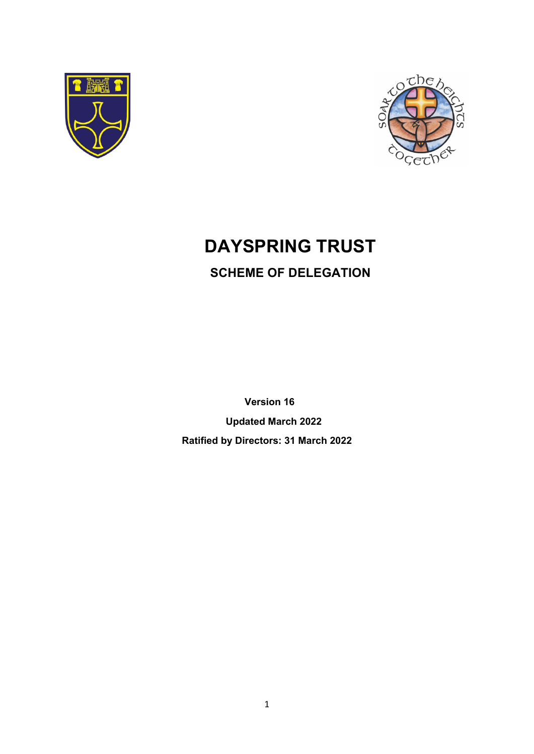



# **DAYSPRING TRUST**

# **SCHEME OF DELEGATION**

 **Version 16 Updated March 2022 Ratified by Directors: 31 March 2022**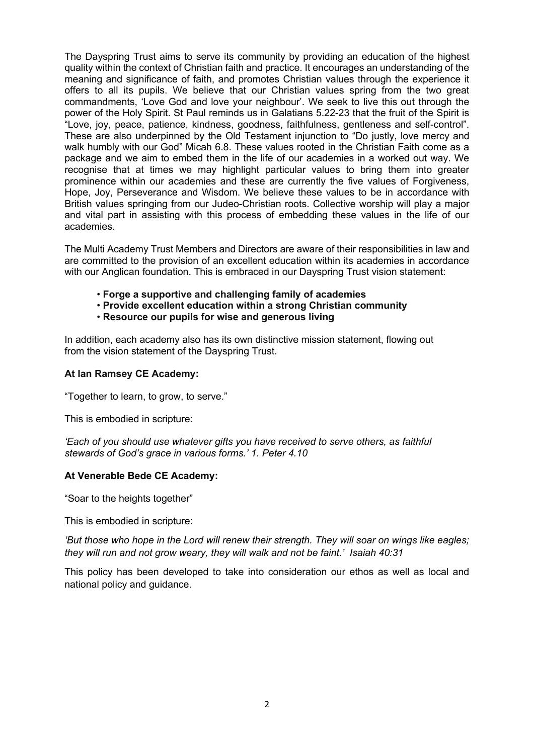The Dayspring Trust aims to serve its community by providing an education of the highest quality within the context of Christian faith and practice. It encourages an understanding of the meaning and significance of faith, and promotes Christian values through the experience it offers to all its pupils. We believe that our Christian values spring from the two great commandments, 'Love God and love your neighbour'. We seek to live this out through the power of the Holy Spirit. St Paul reminds us in Galatians 5.22-23 that the fruit of the Spirit is "Love, joy, peace, patience, kindness, goodness, faithfulness, gentleness and self-control". These are also underpinned by the Old Testament injunction to "Do justly, love mercy and walk humbly with our God" Micah 6.8. These values rooted in the Christian Faith come as a package and we aim to embed them in the life of our academies in a worked out way. We recognise that at times we may highlight particular values to bring them into greater prominence within our academies and these are currently the five values of Forgiveness, Hope, Joy, Perseverance and Wisdom. We believe these values to be in accordance with British values springing from our Judeo-Christian roots. Collective worship will play a major and vital part in assisting with this process of embedding these values in the life of our academies.

The Multi Academy Trust Members and Directors are aware of their responsibilities in law and are committed to the provision of an excellent education within its academies in accordance with our Anglican foundation. This is embraced in our Dayspring Trust vision statement:

- **Forge a supportive and challenging family of academies**
- **Provide excellent education within a strong Christian community**
- **Resource our pupils for wise and generous living**

In addition, each academy also has its own distinctive mission statement, flowing out from the vision statement of the Dayspring Trust.

#### **At Ian Ramsey CE Academy:**

"Together to learn, to grow, to serve."

This is embodied in scripture:

*'Each of you should use whatever gifts you have received to serve others, as faithful stewards of God's grace in various forms.' 1. Peter 4.10*

#### **At Venerable Bede CE Academy:**

"Soar to the heights together"

This is embodied in scripture:

*'But those who hope in the Lord will renew their strength. They will soar on wings like eagles; they will run and not grow weary, they will walk and not be faint.' Isaiah 40:31*

This policy has been developed to take into consideration our ethos as well as local and national policy and guidance.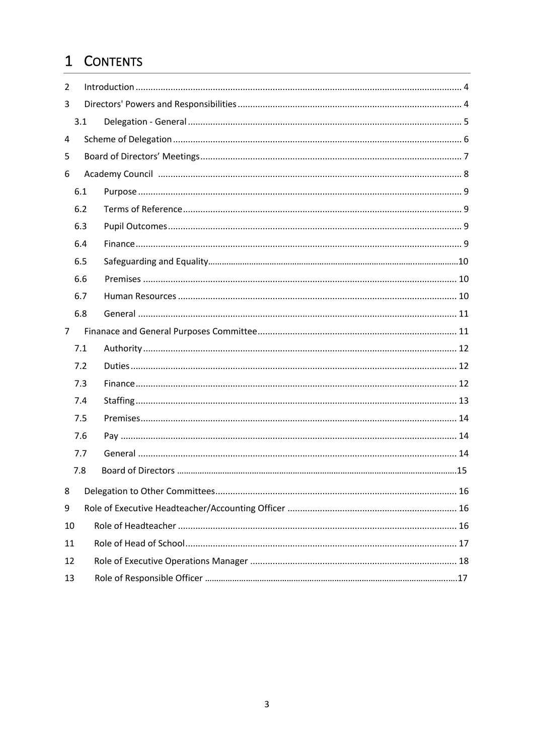# 1 CONTENTS

| 2              |     |  |  |
|----------------|-----|--|--|
| 3              |     |  |  |
|                | 3.1 |  |  |
| 4              |     |  |  |
| 5              |     |  |  |
| 6              |     |  |  |
|                | 6.1 |  |  |
|                | 6.2 |  |  |
|                | 6.3 |  |  |
|                | 6.4 |  |  |
|                | 6.5 |  |  |
|                | 6.6 |  |  |
|                | 6.7 |  |  |
|                | 6.8 |  |  |
| $\overline{7}$ |     |  |  |
|                | 7.1 |  |  |
|                | 7.2 |  |  |
|                | 7.3 |  |  |
|                | 7.4 |  |  |
|                | 7.5 |  |  |
|                | 7.6 |  |  |
|                | 7.7 |  |  |
|                | 7.8 |  |  |
| 8              |     |  |  |
| 9              |     |  |  |
| 10             |     |  |  |
| 11             |     |  |  |
| 12             |     |  |  |
| 13             |     |  |  |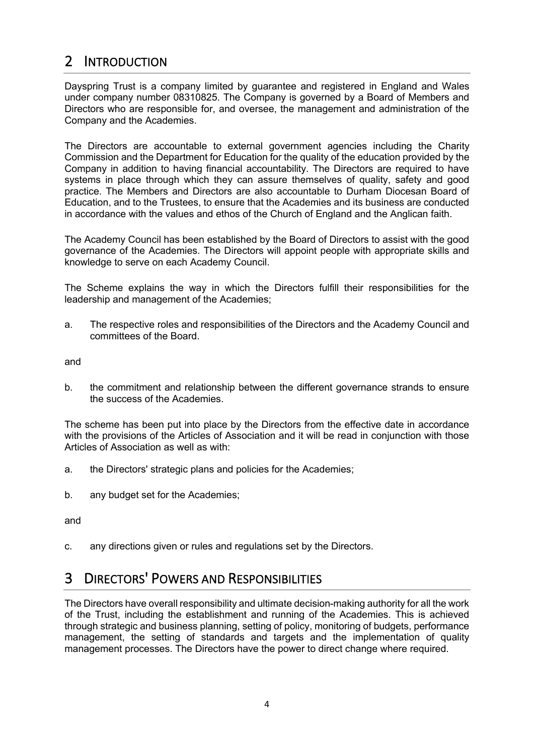# 2 INTRODUCTION

Dayspring Trust is a company limited by guarantee and registered in England and Wales under company number 08310825. The Company is governed by a Board of Members and Directors who are responsible for, and oversee, the management and administration of the Company and the Academies.

The Directors are accountable to external government agencies including the Charity Commission and the Department for Education for the quality of the education provided by the Company in addition to having financial accountability. The Directors are required to have systems in place through which they can assure themselves of quality, safety and good practice. The Members and Directors are also accountable to Durham Diocesan Board of Education, and to the Trustees, to ensure that the Academies and its business are conducted in accordance with the values and ethos of the Church of England and the Anglican faith.

The Academy Council has been established by the Board of Directors to assist with the good governance of the Academies. The Directors will appoint people with appropriate skills and knowledge to serve on each Academy Council.

The Scheme explains the way in which the Directors fulfill their responsibilities for the leadership and management of the Academies;

a. The respective roles and responsibilities of the Directors and the Academy Council and committees of the Board.

and

b. the commitment and relationship between the different governance strands to ensure the success of the Academies.

The scheme has been put into place by the Directors from the effective date in accordance with the provisions of the Articles of Association and it will be read in conjunction with those Articles of Association as well as with:

- a. the Directors' strategic plans and policies for the Academies;
- b. any budget set for the Academies;

and

c. any directions given or rules and regulations set by the Directors.

# 3 DIRECTORS' POWERS AND RESPONSIBILITIES

The Directors have overall responsibility and ultimate decision-making authority for all the work of the Trust, including the establishment and running of the Academies. This is achieved through strategic and business planning, setting of policy, monitoring of budgets, performance management, the setting of standards and targets and the implementation of quality management processes. The Directors have the power to direct change where required.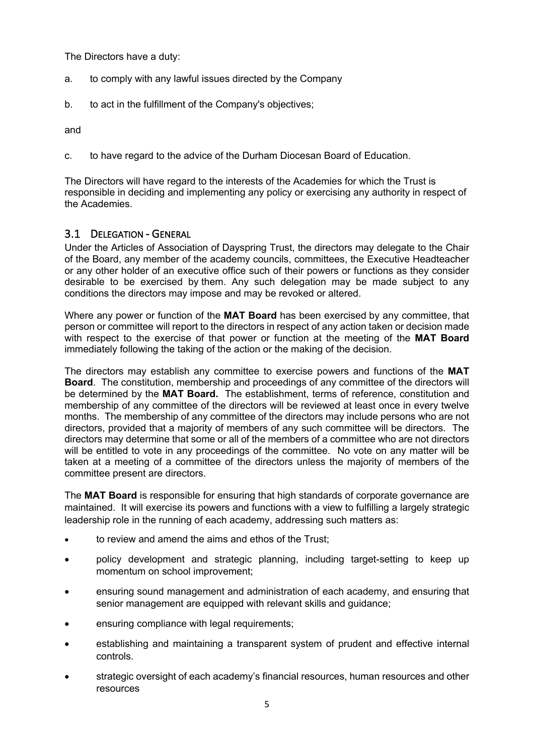The Directors have a duty:

- a. to comply with any lawful issues directed by the Company
- b. to act in the fulfillment of the Company's objectives;

and

c. to have regard to the advice of the Durham Diocesan Board of Education.

The Directors will have regard to the interests of the Academies for which the Trust is responsible in deciding and implementing any policy or exercising any authority in respect of the Academies.

### 3.1 DELEGATION - GENERAL

Under the Articles of Association of Dayspring Trust, the directors may delegate to the Chair of the Board, any member of the academy councils, committees, the Executive Headteacher or any other holder of an executive office such of their powers or functions as they consider desirable to be exercised by them. Any such delegation may be made subject to any conditions the directors may impose and may be revoked or altered.

Where any power or function of the **MAT Board** has been exercised by any committee, that person or committee will report to the directors in respect of any action taken or decision made with respect to the exercise of that power or function at the meeting of the **MAT Board** immediately following the taking of the action or the making of the decision.

The directors may establish any committee to exercise powers and functions of the **MAT Board**. The constitution, membership and proceedings of any committee of the directors will be determined by the **MAT Board.** The establishment, terms of reference, constitution and membership of any committee of the directors will be reviewed at least once in every twelve months. The membership of any committee of the directors may include persons who are not directors, provided that a majority of members of any such committee will be directors. The directors may determine that some or all of the members of a committee who are not directors will be entitled to vote in any proceedings of the committee. No vote on any matter will be taken at a meeting of a committee of the directors unless the majority of members of the committee present are directors.

The **MAT Board** is responsible for ensuring that high standards of corporate governance are maintained. It will exercise its powers and functions with a view to fulfilling a largely strategic leadership role in the running of each academy, addressing such matters as:

- to review and amend the aims and ethos of the Trust;
- policy development and strategic planning, including target-setting to keep up momentum on school improvement;
- ensuring sound management and administration of each academy, and ensuring that senior management are equipped with relevant skills and guidance;
- ensuring compliance with legal requirements;
- establishing and maintaining a transparent system of prudent and effective internal controls.
- strategic oversight of each academy's financial resources, human resources and other resources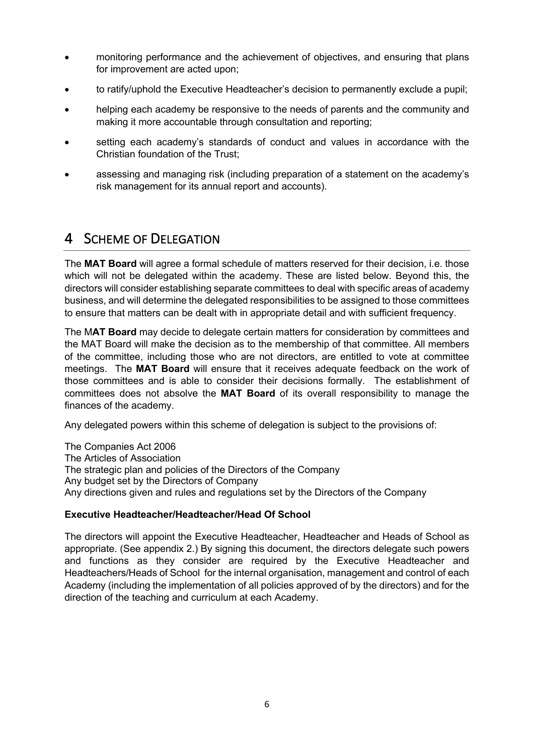- monitoring performance and the achievement of objectives, and ensuring that plans for improvement are acted upon;
- to ratify/uphold the Executive Headteacher's decision to permanently exclude a pupil;
- helping each academy be responsive to the needs of parents and the community and making it more accountable through consultation and reporting;
- setting each academy's standards of conduct and values in accordance with the Christian foundation of the Trust;
- assessing and managing risk (including preparation of a statement on the academy's risk management for its annual report and accounts).

# 4 SCHEME OF DELEGATION

The **MAT Board** will agree a formal schedule of matters reserved for their decision, i.e. those which will not be delegated within the academy. These are listed below. Beyond this, the directors will consider establishing separate committees to deal with specific areas of academy business, and will determine the delegated responsibilities to be assigned to those committees to ensure that matters can be dealt with in appropriate detail and with sufficient frequency.

The M**AT Board** may decide to delegate certain matters for consideration by committees and the MAT Board will make the decision as to the membership of that committee. All members of the committee, including those who are not directors, are entitled to vote at committee meetings. The **MAT Board** will ensure that it receives adequate feedback on the work of those committees and is able to consider their decisions formally. The establishment of committees does not absolve the **MAT Board** of its overall responsibility to manage the finances of the academy.

Any delegated powers within this scheme of delegation is subject to the provisions of:

The Companies Act 2006 The Articles of Association The strategic plan and policies of the Directors of the Company Any budget set by the Directors of Company Any directions given and rules and regulations set by the Directors of the Company

#### **Executive Headteacher/Headteacher/Head Of School**

The directors will appoint the Executive Headteacher, Headteacher and Heads of School as appropriate. (See appendix 2.) By signing this document, the directors delegate such powers and functions as they consider are required by the Executive Headteacher and Headteachers/Heads of School for the internal organisation, management and control of each Academy (including the implementation of all policies approved of by the directors) and for the direction of the teaching and curriculum at each Academy.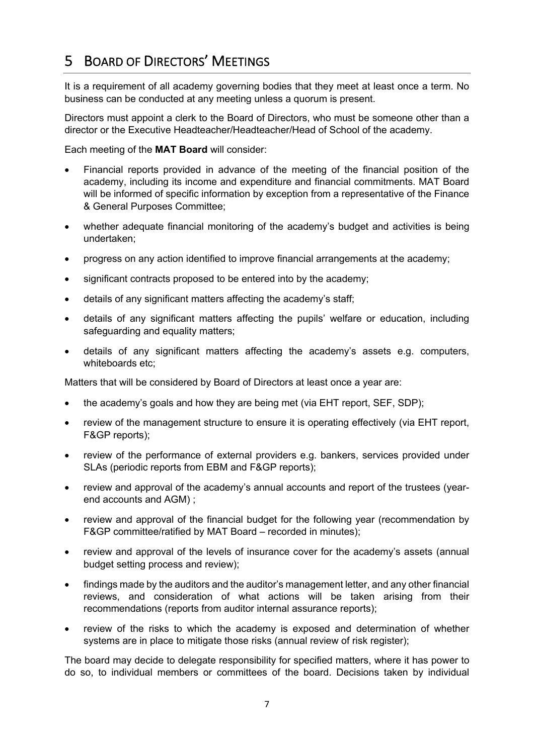# 5 BOARD OF DIRECTORS' MEETINGS

It is a requirement of all academy governing bodies that they meet at least once a term. No business can be conducted at any meeting unless a quorum is present.

Directors must appoint a clerk to the Board of Directors, who must be someone other than a director or the Executive Headteacher/Headteacher/Head of School of the academy.

Each meeting of the **MAT Board** will consider:

- Financial reports provided in advance of the meeting of the financial position of the academy, including its income and expenditure and financial commitments. MAT Board will be informed of specific information by exception from a representative of the Finance & General Purposes Committee;
- whether adequate financial monitoring of the academy's budget and activities is being undertaken;
- progress on any action identified to improve financial arrangements at the academy;
- significant contracts proposed to be entered into by the academy;
- details of any significant matters affecting the academy's staff;
- details of any significant matters affecting the pupils' welfare or education, including safeguarding and equality matters;
- details of any significant matters affecting the academy's assets e.g. computers, whiteboards etc;

Matters that will be considered by Board of Directors at least once a year are:

- the academy's goals and how they are being met (via EHT report, SEF, SDP);
- review of the management structure to ensure it is operating effectively (via EHT report, F&GP reports);
- review of the performance of external providers e.g. bankers, services provided under SLAs (periodic reports from EBM and F&GP reports);
- review and approval of the academy's annual accounts and report of the trustees (yearend accounts and AGM) ;
- review and approval of the financial budget for the following year (recommendation by F&GP committee/ratified by MAT Board – recorded in minutes);
- review and approval of the levels of insurance cover for the academy's assets (annual budget setting process and review);
- findings made by the auditors and the auditor's management letter, and any other financial reviews, and consideration of what actions will be taken arising from their recommendations (reports from auditor internal assurance reports);
- review of the risks to which the academy is exposed and determination of whether systems are in place to mitigate those risks (annual review of risk register);

The board may decide to delegate responsibility for specified matters, where it has power to do so, to individual members or committees of the board. Decisions taken by individual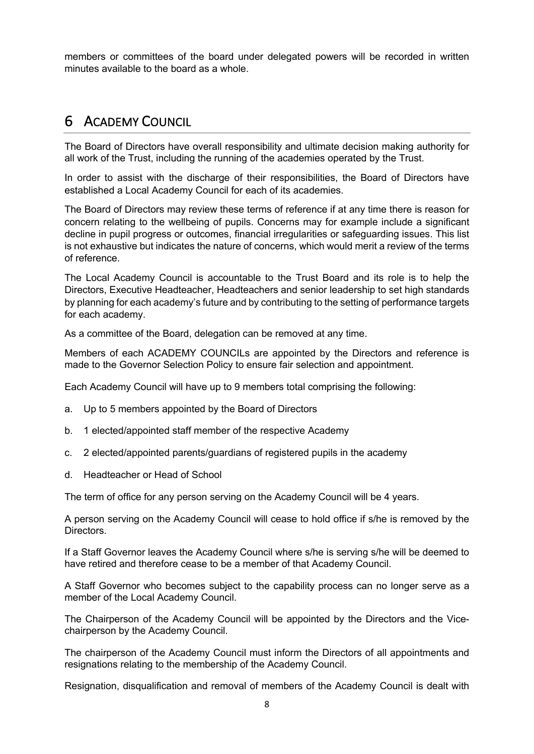members or committees of the board under delegated powers will be recorded in written minutes available to the board as a whole.

# 6 ACADEMY COUNCIL

The Board of Directors have overall responsibility and ultimate decision making authority for all work of the Trust, including the running of the academies operated by the Trust.

In order to assist with the discharge of their responsibilities, the Board of Directors have established a Local Academy Council for each of its academies.

The Board of Directors may review these terms of reference if at any time there is reason for concern relating to the wellbeing of pupils. Concerns may for example include a significant decline in pupil progress or outcomes, financial irregularities or safeguarding issues. This list is not exhaustive but indicates the nature of concerns, which would merit a review of the terms of reference.

The Local Academy Council is accountable to the Trust Board and its role is to help the Directors, Executive Headteacher, Headteachers and senior leadership to set high standards by planning for each academy's future and by contributing to the setting of performance targets for each academy.

As a committee of the Board, delegation can be removed at any time.

Members of each ACADEMY COUNCILs are appointed by the Directors and reference is made to the Governor Selection Policy to ensure fair selection and appointment.

Each Academy Council will have up to 9 members total comprising the following:

- a. Up to 5 members appointed by the Board of Directors
- b. 1 elected/appointed staff member of the respective Academy
- c. 2 elected/appointed parents/guardians of registered pupils in the academy
- d. Headteacher or Head of School

The term of office for any person serving on the Academy Council will be 4 years.

A person serving on the Academy Council will cease to hold office if s/he is removed by the Directors.

If a Staff Governor leaves the Academy Council where s/he is serving s/he will be deemed to have retired and therefore cease to be a member of that Academy Council.

A Staff Governor who becomes subject to the capability process can no longer serve as a member of the Local Academy Council.

The Chairperson of the Academy Council will be appointed by the Directors and the Vicechairperson by the Academy Council.

The chairperson of the Academy Council must inform the Directors of all appointments and resignations relating to the membership of the Academy Council.

Resignation, disqualification and removal of members of the Academy Council is dealt with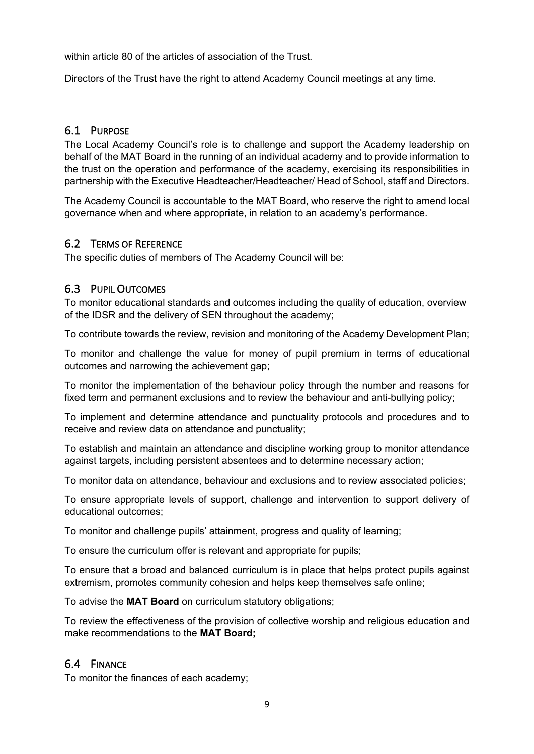within article 80 of the articles of association of the Trust.

Directors of the Trust have the right to attend Academy Council meetings at any time.

### 6.1 PURPOSE

The Local Academy Council's role is to challenge and support the Academy leadership on behalf of the MAT Board in the running of an individual academy and to provide information to the trust on the operation and performance of the academy, exercising its responsibilities in partnership with the Executive Headteacher/Headteacher/ Head of School, staff and Directors.

The Academy Council is accountable to the MAT Board, who reserve the right to amend local governance when and where appropriate, in relation to an academy's performance.

### 6.2 TERMS OF REFERENCE

The specific duties of members of The Academy Council will be:

### 6.3 PUPIL OUTCOMES

To monitor educational standards and outcomes including the quality of education, overview of the IDSR and the delivery of SEN throughout the academy;

To contribute towards the review, revision and monitoring of the Academy Development Plan;

To monitor and challenge the value for money of pupil premium in terms of educational outcomes and narrowing the achievement gap;

To monitor the implementation of the behaviour policy through the number and reasons for fixed term and permanent exclusions and to review the behaviour and anti-bullying policy;

To implement and determine attendance and punctuality protocols and procedures and to receive and review data on attendance and punctuality;

To establish and maintain an attendance and discipline working group to monitor attendance against targets, including persistent absentees and to determine necessary action;

To monitor data on attendance, behaviour and exclusions and to review associated policies;

To ensure appropriate levels of support, challenge and intervention to support delivery of educational outcomes;

To monitor and challenge pupils' attainment, progress and quality of learning;

To ensure the curriculum offer is relevant and appropriate for pupils;

To ensure that a broad and balanced curriculum is in place that helps protect pupils against extremism, promotes community cohesion and helps keep themselves safe online;

To advise the **MAT Board** on curriculum statutory obligations;

To review the effectiveness of the provision of collective worship and religious education and make recommendations to the **MAT Board;**

### 6.4 FINANCE

To monitor the finances of each academy;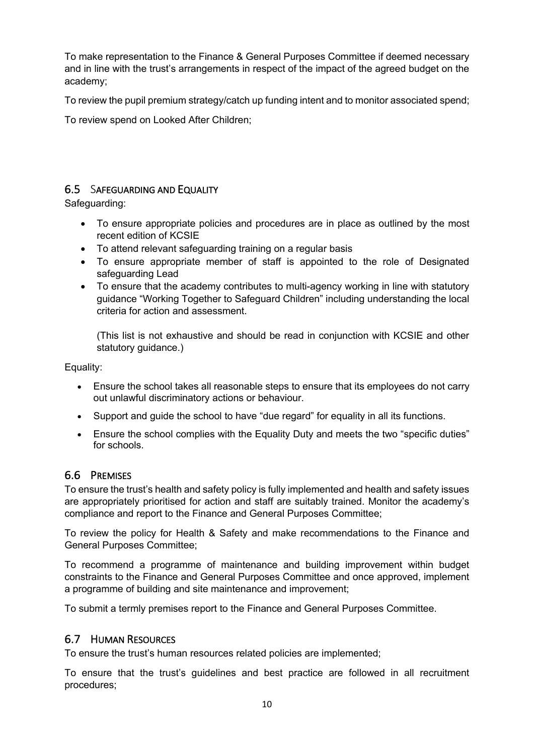To make representation to the Finance & General Purposes Committee if deemed necessary and in line with the trust's arrangements in respect of the impact of the agreed budget on the academy;

To review the pupil premium strategy/catch up funding intent and to monitor associated spend;

To review spend on Looked After Children;

### 6.5 SAFEGUARDING AND EQUALITY

Safeguarding:

- To ensure appropriate policies and procedures are in place as outlined by the most recent edition of KCSIE
- To attend relevant safeguarding training on a regular basis
- To ensure appropriate member of staff is appointed to the role of Designated safeguarding Lead
- To ensure that the academy contributes to multi-agency working in line with statutory guidance "Working Together to Safeguard Children" including understanding the local criteria for action and assessment.

(This list is not exhaustive and should be read in conjunction with KCSIE and other statutory guidance.)

Equality:

- Ensure the school takes all reasonable steps to ensure that its employees do not carry out unlawful discriminatory actions or behaviour.
- Support and guide the school to have "due regard" for equality in all its functions.
- Ensure the school complies with the Equality Duty and meets the two "specific duties" for schools.

### 6.6 PREMISES

To ensure the trust's health and safety policy is fully implemented and health and safety issues are appropriately prioritised for action and staff are suitably trained. Monitor the academy's compliance and report to the Finance and General Purposes Committee;

To review the policy for Health & Safety and make recommendations to the Finance and General Purposes Committee;

To recommend a programme of maintenance and building improvement within budget constraints to the Finance and General Purposes Committee and once approved, implement a programme of building and site maintenance and improvement;

To submit a termly premises report to the Finance and General Purposes Committee.

### 6.7 HUMAN RESOURCES

To ensure the trust's human resources related policies are implemented;

To ensure that the trust's guidelines and best practice are followed in all recruitment procedures;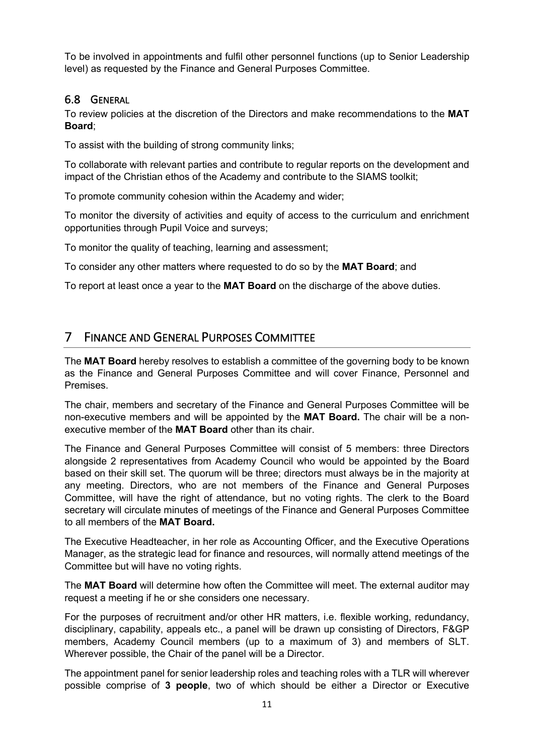To be involved in appointments and fulfil other personnel functions (up to Senior Leadership level) as requested by the Finance and General Purposes Committee.

### 6.8 GENERAL

To review policies at the discretion of the Directors and make recommendations to the **MAT Board**;

To assist with the building of strong community links;

To collaborate with relevant parties and contribute to regular reports on the development and impact of the Christian ethos of the Academy and contribute to the SIAMS toolkit;

To promote community cohesion within the Academy and wider;

To monitor the diversity of activities and equity of access to the curriculum and enrichment opportunities through Pupil Voice and surveys;

To monitor the quality of teaching, learning and assessment;

To consider any other matters where requested to do so by the **MAT Board**; and

To report at least once a year to the **MAT Board** on the discharge of the above duties.

# 7 FINANCE AND GENERAL PURPOSES COMMITTEE

The **MAT Board** hereby resolves to establish a committee of the governing body to be known as the Finance and General Purposes Committee and will cover Finance, Personnel and **Premises** 

The chair, members and secretary of the Finance and General Purposes Committee will be non-executive members and will be appointed by the **MAT Board.** The chair will be a nonexecutive member of the **MAT Board** other than its chair.

The Finance and General Purposes Committee will consist of 5 members: three Directors alongside 2 representatives from Academy Council who would be appointed by the Board based on their skill set. The quorum will be three; directors must always be in the majority at any meeting. Directors, who are not members of the Finance and General Purposes Committee, will have the right of attendance, but no voting rights. The clerk to the Board secretary will circulate minutes of meetings of the Finance and General Purposes Committee to all members of the **MAT Board.**

The Executive Headteacher, in her role as Accounting Officer, and the Executive Operations Manager, as the strategic lead for finance and resources, will normally attend meetings of the Committee but will have no voting rights.

The **MAT Board** will determine how often the Committee will meet. The external auditor may request a meeting if he or she considers one necessary.

For the purposes of recruitment and/or other HR matters, i.e. flexible working, redundancy, disciplinary, capability, appeals etc., a panel will be drawn up consisting of Directors, F&GP members, Academy Council members (up to a maximum of 3) and members of SLT. Wherever possible, the Chair of the panel will be a Director.

The appointment panel for senior leadership roles and teaching roles with a TLR will wherever possible comprise of **3 people**, two of which should be either a Director or Executive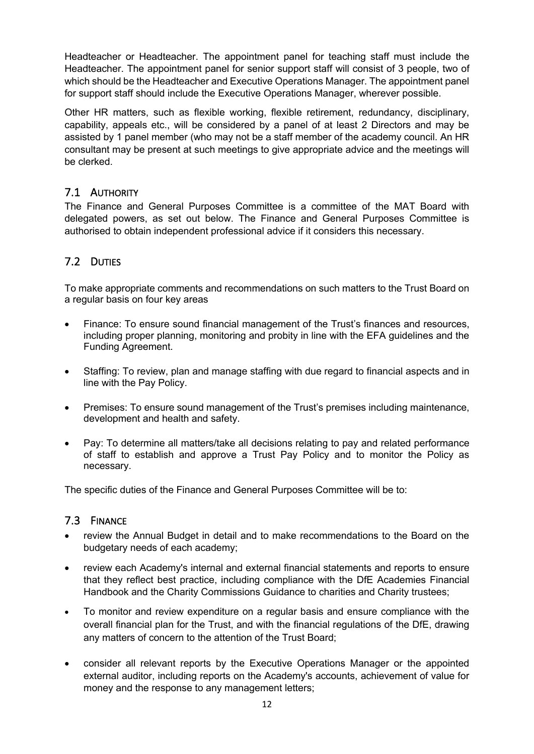Headteacher or Headteacher. The appointment panel for teaching staff must include the Headteacher. The appointment panel for senior support staff will consist of 3 people, two of which should be the Headteacher and Executive Operations Manager. The appointment panel for support staff should include the Executive Operations Manager, wherever possible.

Other HR matters, such as flexible working, flexible retirement, redundancy, disciplinary, capability, appeals etc., will be considered by a panel of at least 2 Directors and may be assisted by 1 panel member (who may not be a staff member of the academy council. An HR consultant may be present at such meetings to give appropriate advice and the meetings will be clerked.

### 7.1 AUTHORITY

The Finance and General Purposes Committee is a committee of the MAT Board with delegated powers, as set out below. The Finance and General Purposes Committee is authorised to obtain independent professional advice if it considers this necessary.

# 7.2 DUTIES

To make appropriate comments and recommendations on such matters to the Trust Board on a regular basis on four key areas

- Finance: To ensure sound financial management of the Trust's finances and resources, including proper planning, monitoring and probity in line with the EFA guidelines and the Funding Agreement.
- Staffing: To review, plan and manage staffing with due regard to financial aspects and in line with the Pay Policy.
- Premises: To ensure sound management of the Trust's premises including maintenance, development and health and safety.
- Pay: To determine all matters/take all decisions relating to pay and related performance of staff to establish and approve a Trust Pay Policy and to monitor the Policy as necessary.

The specific duties of the Finance and General Purposes Committee will be to:

### 7.3 FINANCE

- review the Annual Budget in detail and to make recommendations to the Board on the budgetary needs of each academy;
- review each Academy's internal and external financial statements and reports to ensure that they reflect best practice, including compliance with the DfE Academies Financial Handbook and the Charity Commissions Guidance to charities and Charity trustees;
- To monitor and review expenditure on a regular basis and ensure compliance with the overall financial plan for the Trust, and with the financial regulations of the DfE, drawing any matters of concern to the attention of the Trust Board;
- consider all relevant reports by the Executive Operations Manager or the appointed external auditor, including reports on the Academy's accounts, achievement of value for money and the response to any management letters;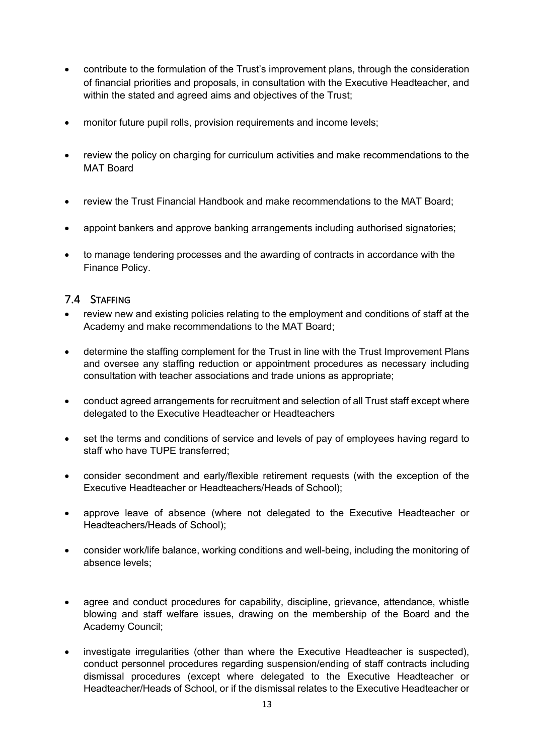- contribute to the formulation of the Trust's improvement plans, through the consideration of financial priorities and proposals, in consultation with the Executive Headteacher, and within the stated and agreed aims and objectives of the Trust:
- monitor future pupil rolls, provision requirements and income levels;
- review the policy on charging for curriculum activities and make recommendations to the MAT Board
- review the Trust Financial Handbook and make recommendations to the MAT Board;
- appoint bankers and approve banking arrangements including authorised signatories;
- to manage tendering processes and the awarding of contracts in accordance with the Finance Policy.

### 7.4 STAFFING

- review new and existing policies relating to the employment and conditions of staff at the Academy and make recommendations to the MAT Board;
- determine the staffing complement for the Trust in line with the Trust Improvement Plans and oversee any staffing reduction or appointment procedures as necessary including consultation with teacher associations and trade unions as appropriate;
- conduct agreed arrangements for recruitment and selection of all Trust staff except where delegated to the Executive Headteacher or Headteachers
- set the terms and conditions of service and levels of pay of employees having regard to staff who have TUPE transferred;
- consider secondment and early/flexible retirement requests (with the exception of the Executive Headteacher or Headteachers/Heads of School);
- approve leave of absence (where not delegated to the Executive Headteacher or Headteachers/Heads of School);
- consider work/life balance, working conditions and well-being, including the monitoring of absence levels;
- agree and conduct procedures for capability, discipline, grievance, attendance, whistle blowing and staff welfare issues, drawing on the membership of the Board and the Academy Council;
- investigate irregularities (other than where the Executive Headteacher is suspected), conduct personnel procedures regarding suspension/ending of staff contracts including dismissal procedures (except where delegated to the Executive Headteacher or Headteacher/Heads of School, or if the dismissal relates to the Executive Headteacher or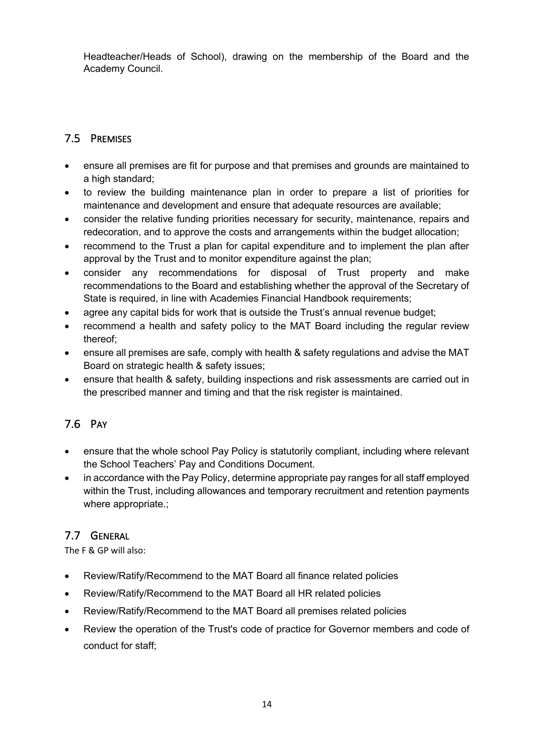Headteacher/Heads of School), drawing on the membership of the Board and the Academy Council.

## 7.5 PREMISES

- ensure all premises are fit for purpose and that premises and grounds are maintained to a high standard;
- to review the building maintenance plan in order to prepare a list of priorities for maintenance and development and ensure that adequate resources are available;
- consider the relative funding priorities necessary for security, maintenance, repairs and redecoration, and to approve the costs and arrangements within the budget allocation;
- recommend to the Trust a plan for capital expenditure and to implement the plan after approval by the Trust and to monitor expenditure against the plan;
- consider any recommendations for disposal of Trust property and make recommendations to the Board and establishing whether the approval of the Secretary of State is required, in line with Academies Financial Handbook requirements;
- agree any capital bids for work that is outside the Trust's annual revenue budget;
- recommend a health and safety policy to the MAT Board including the regular review thereof;
- ensure all premises are safe, comply with health & safety regulations and advise the MAT Board on strategic health & safety issues;
- ensure that health & safety, building inspections and risk assessments are carried out in the prescribed manner and timing and that the risk register is maintained.

# 7.6 PAY

- ensure that the whole school Pay Policy is statutorily compliant, including where relevant the School Teachers' Pay and Conditions Document.
- in accordance with the Pay Policy, determine appropriate pay ranges for all staff employed within the Trust, including allowances and temporary recruitment and retention payments where appropriate.;

### 7.7 GENERAL

The F & GP will also:

- Review/Ratify/Recommend to the MAT Board all finance related policies
- Review/Ratify/Recommend to the MAT Board all HR related policies
- Review/Ratify/Recommend to the MAT Board all premises related policies
- Review the operation of the Trust's code of practice for Governor members and code of conduct for staff;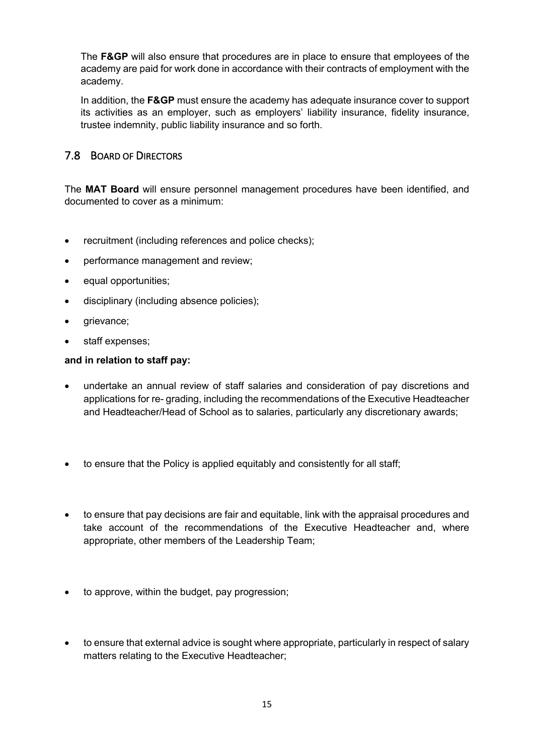The **F&GP** will also ensure that procedures are in place to ensure that employees of the academy are paid for work done in accordance with their contracts of employment with the academy.

In addition, the **F&GP** must ensure the academy has adequate insurance cover to support its activities as an employer, such as employers' liability insurance, fidelity insurance, trustee indemnity, public liability insurance and so forth.

### 7.8 BOARD OF DIRECTORS

The **MAT Board** will ensure personnel management procedures have been identified, and documented to cover as a minimum:

- recruitment (including references and police checks);
- performance management and review;
- equal opportunities;
- disciplinary (including absence policies);
- **grievance**;
- staff expenses;

#### **and in relation to staff pay:**

- undertake an annual review of staff salaries and consideration of pay discretions and applications for re- grading, including the recommendations of the Executive Headteacher and Headteacher/Head of School as to salaries, particularly any discretionary awards;
- to ensure that the Policy is applied equitably and consistently for all staff;
- to ensure that pay decisions are fair and equitable, link with the appraisal procedures and take account of the recommendations of the Executive Headteacher and, where appropriate, other members of the Leadership Team;
- to approve, within the budget, pay progression;
- to ensure that external advice is sought where appropriate, particularly in respect of salary matters relating to the Executive Headteacher;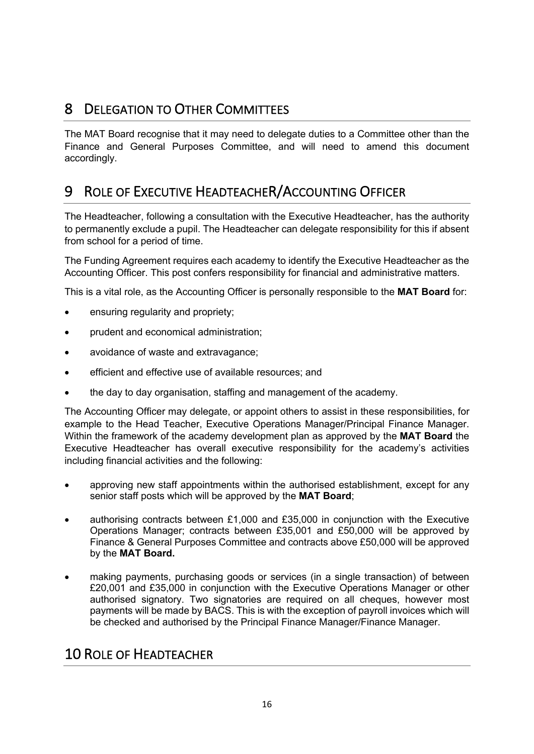# 8 DELEGATION TO OTHER COMMITTEES

The MAT Board recognise that it may need to delegate duties to a Committee other than the Finance and General Purposes Committee, and will need to amend this document accordingly.

# 9 ROLE OF EXECUTIVE HEADTEACHER/ACCOUNTING OFFICER

The Headteacher, following a consultation with the Executive Headteacher, has the authority to permanently exclude a pupil. The Headteacher can delegate responsibility for this if absent from school for a period of time.

The Funding Agreement requires each academy to identify the Executive Headteacher as the Accounting Officer. This post confers responsibility for financial and administrative matters.

This is a vital role, as the Accounting Officer is personally responsible to the **MAT Board** for:

- ensuring regularity and propriety;
- prudent and economical administration;
- avoidance of waste and extravagance;
- efficient and effective use of available resources; and
- the day to day organisation, staffing and management of the academy.

The Accounting Officer may delegate, or appoint others to assist in these responsibilities, for example to the Head Teacher, Executive Operations Manager/Principal Finance Manager. Within the framework of the academy development plan as approved by the **MAT Board** the Executive Headteacher has overall executive responsibility for the academy's activities including financial activities and the following:

- approving new staff appointments within the authorised establishment, except for any senior staff posts which will be approved by the **MAT Board**;
- authorising contracts between £1,000 and £35,000 in conjunction with the Executive Operations Manager; contracts between £35,001 and £50,000 will be approved by Finance & General Purposes Committee and contracts above £50,000 will be approved by the **MAT Board.**
- making payments, purchasing goods or services (in a single transaction) of between £20,001 and £35,000 in conjunction with the Executive Operations Manager or other authorised signatory. Two signatories are required on all cheques, however most payments will be made by BACS. This is with the exception of payroll invoices which will be checked and authorised by the Principal Finance Manager/Finance Manager.

# 10 ROLE OF HEADTEACHER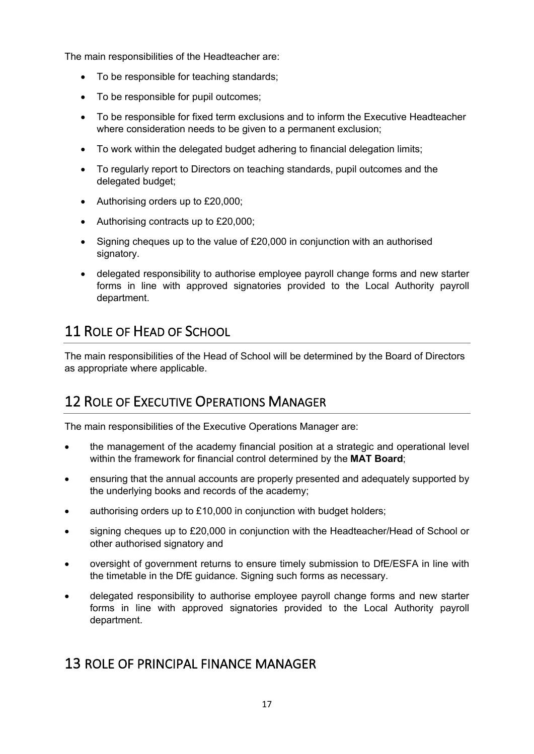The main responsibilities of the Headteacher are:

- To be responsible for teaching standards;
- To be responsible for pupil outcomes;
- To be responsible for fixed term exclusions and to inform the Executive Headteacher where consideration needs to be given to a permanent exclusion;
- To work within the delegated budget adhering to financial delegation limits;
- To regularly report to Directors on teaching standards, pupil outcomes and the delegated budget;
- Authorising orders up to £20,000;
- Authorising contracts up to £20,000;
- Signing cheques up to the value of £20,000 in conjunction with an authorised signatory.
- delegated responsibility to authorise employee payroll change forms and new starter forms in line with approved signatories provided to the Local Authority payroll department.

# 11 ROLE OF HEAD OF SCHOOL

The main responsibilities of the Head of School will be determined by the Board of Directors as appropriate where applicable.

# 12 ROLE OF EXECUTIVE OPERATIONS MANAGER

The main responsibilities of the Executive Operations Manager are:

- the management of the academy financial position at a strategic and operational level within the framework for financial control determined by the **MAT Board**;
- ensuring that the annual accounts are properly presented and adequately supported by the underlying books and records of the academy;
- authorising orders up to £10,000 in conjunction with budget holders;
- signing cheques up to £20,000 in conjunction with the Headteacher/Head of School or other authorised signatory and
- oversight of government returns to ensure timely submission to DfE/ESFA in line with the timetable in the DfE guidance. Signing such forms as necessary.
- delegated responsibility to authorise employee payroll change forms and new starter forms in line with approved signatories provided to the Local Authority payroll department.

# 13 ROLE OF PRINCIPAL FINANCE MANAGER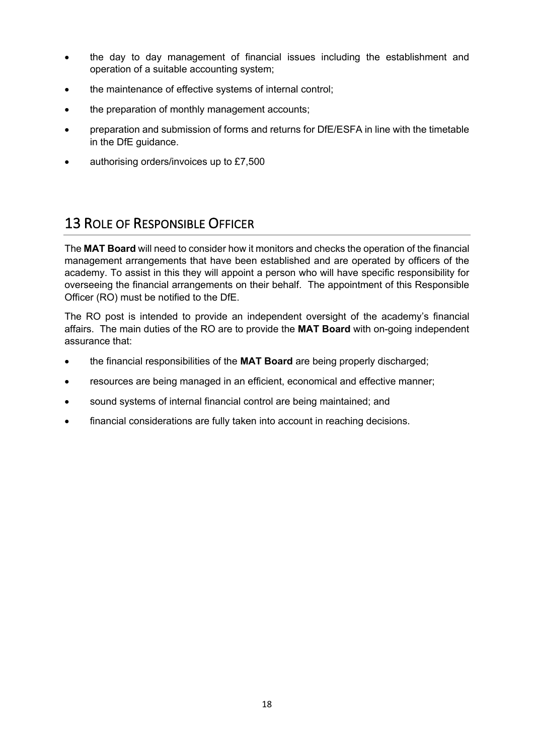- the day to day management of financial issues including the establishment and operation of a suitable accounting system;
- the maintenance of effective systems of internal control;
- the preparation of monthly management accounts;
- preparation and submission of forms and returns for DfE/ESFA in line with the timetable in the DfE guidance.
- authorising orders/invoices up to £7,500

# 13 ROLE OF RESPONSIBLE OFFICER

The **MAT Board** will need to consider how it monitors and checks the operation of the financial management arrangements that have been established and are operated by officers of the academy. To assist in this they will appoint a person who will have specific responsibility for overseeing the financial arrangements on their behalf. The appointment of this Responsible Officer (RO) must be notified to the DfE.

The RO post is intended to provide an independent oversight of the academy's financial affairs. The main duties of the RO are to provide the **MAT Board** with on-going independent assurance that:

- the financial responsibilities of the **MAT Board** are being properly discharged;
- resources are being managed in an efficient, economical and effective manner;
- sound systems of internal financial control are being maintained; and
- financial considerations are fully taken into account in reaching decisions.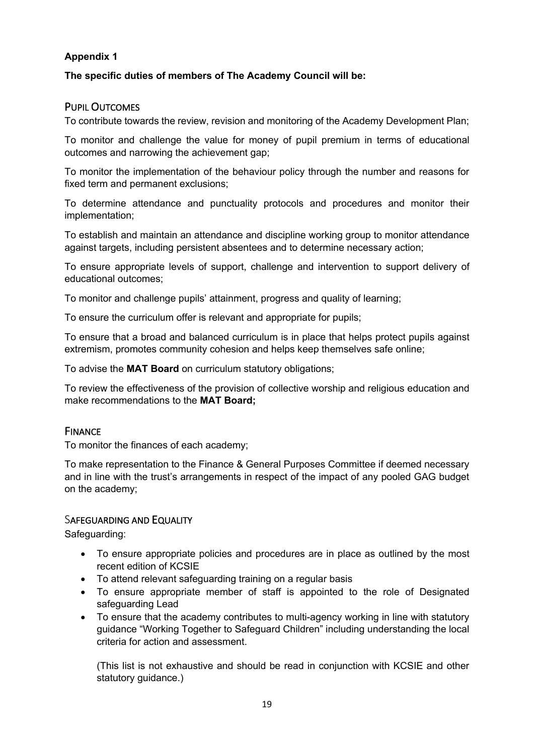### **Appendix 1**

#### **The specific duties of members of The Academy Council will be:**

#### PUPIL OUTCOMES

To contribute towards the review, revision and monitoring of the Academy Development Plan;

To monitor and challenge the value for money of pupil premium in terms of educational outcomes and narrowing the achievement gap;

To monitor the implementation of the behaviour policy through the number and reasons for fixed term and permanent exclusions;

To determine attendance and punctuality protocols and procedures and monitor their implementation;

To establish and maintain an attendance and discipline working group to monitor attendance against targets, including persistent absentees and to determine necessary action;

To ensure appropriate levels of support, challenge and intervention to support delivery of educational outcomes;

To monitor and challenge pupils' attainment, progress and quality of learning;

To ensure the curriculum offer is relevant and appropriate for pupils;

To ensure that a broad and balanced curriculum is in place that helps protect pupils against extremism, promotes community cohesion and helps keep themselves safe online;

To advise the **MAT Board** on curriculum statutory obligations;

To review the effectiveness of the provision of collective worship and religious education and make recommendations to the **MAT Board;**

#### **FINANCE**

To monitor the finances of each academy;

To make representation to the Finance & General Purposes Committee if deemed necessary and in line with the trust's arrangements in respect of the impact of any pooled GAG budget on the academy;

#### SAFEGUARDING AND EQUALITY

Safeguarding:

- To ensure appropriate policies and procedures are in place as outlined by the most recent edition of KCSIE
- To attend relevant safeguarding training on a regular basis
- To ensure appropriate member of staff is appointed to the role of Designated safeguarding Lead
- To ensure that the academy contributes to multi-agency working in line with statutory guidance "Working Together to Safeguard Children" including understanding the local criteria for action and assessment.

(This list is not exhaustive and should be read in conjunction with KCSIE and other statutory guidance.)